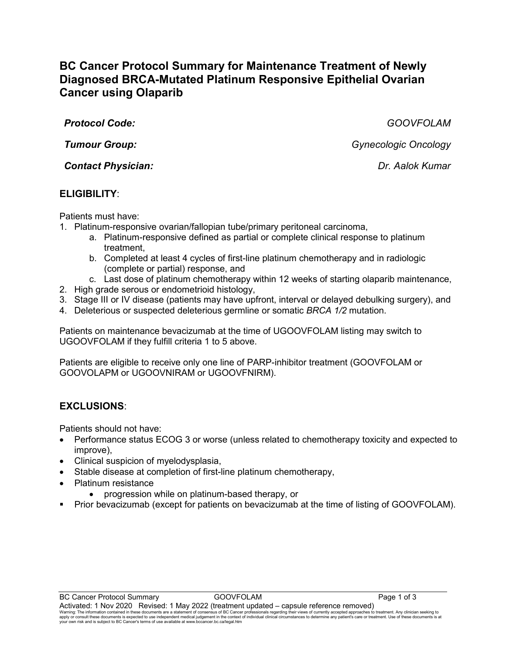# **BC Cancer Protocol Summary for Maintenance Treatment of Newly Diagnosed BRCA-Mutated Platinum Responsive Epithelial Ovarian Cancer using Olaparib**

*Protocol Code: GOOVFOLAM*

*Contact Physician: Dr. Aalok Kumar*

# **ELIGIBILITY**:

Patients must have:

- 1. Platinum-responsive ovarian/fallopian tube/primary peritoneal carcinoma,
	- a. Platinum-responsive defined as partial or complete clinical response to platinum treatment,
	- b. Completed at least 4 cycles of first-line platinum chemotherapy and in radiologic (complete or partial) response, and
	- c. Last dose of platinum chemotherapy within 12 weeks of starting olaparib maintenance,
- 2. High grade serous or endometrioid histology,
- 3. Stage III or IV disease (patients may have upfront, interval or delayed debulking surgery), and
- 4. Deleterious or suspected deleterious germline or somatic *BRCA 1/2* mutation.

Patients on maintenance bevacizumab at the time of UGOOVFOLAM listing may switch to UGOOVFOLAM if they fulfill criteria 1 to 5 above.

Patients are eligible to receive only one line of PARP-inhibitor treatment (GOOVFOLAM or GOOVOLAPM or UGOOVNIRAM or UGOOVFNIRM).

# **EXCLUSIONS**:

Patients should not have:

- Performance status ECOG 3 or worse (unless related to chemotherapy toxicity and expected to improve),
- Clinical suspicion of myelodysplasia,
- Stable disease at completion of first-line platinum chemotherapy,
- Platinum resistance
	- progression while on platinum-based therapy, or
- Prior bevacizumab (except for patients on bevacizumab at the time of listing of GOOVFOLAM).

*Tumour Group: Gynecologic Oncology*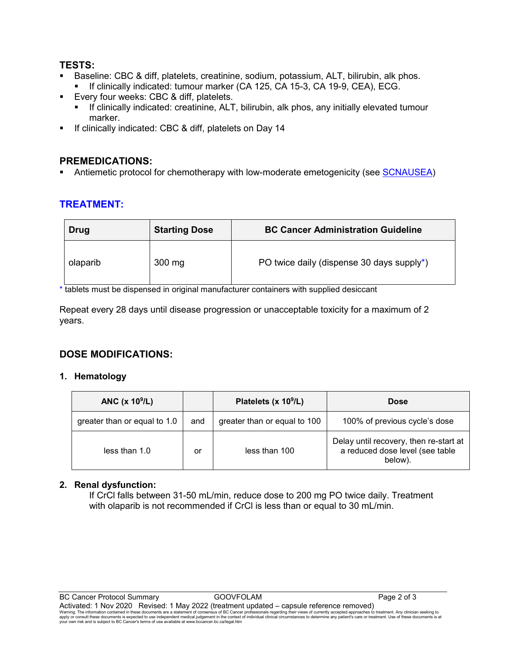#### **TESTS:**

- Baseline: CBC & diff, platelets, creatinine, sodium, potassium, ALT, bilirubin, alk phos.
	- If clinically indicated: tumour marker (CA 125, CA 15-3, CA 19-9, CEA), ECG.
- Every four weeks: CBC & diff, platelets.
	- If clinically indicated: creatinine, ALT, bilirubin, alk phos, any initially elevated tumour marker.
- If clinically indicated: CBC & diff, platelets on Day 14

### **PREMEDICATIONS:**

Antiemetic protocol for chemotherapy with low-moderate emetogenicity (see **SCNAUSEA**)

# **TREATMENT:**

| Drug     | <b>Starting Dose</b> | <b>BC Cancer Administration Guideline</b> |
|----------|----------------------|-------------------------------------------|
| olaparib | $300$ mg             | PO twice daily (dispense 30 days supply*) |

\* tablets must be dispensed in original manufacturer containers with supplied desiccant

Repeat every 28 days until disease progression or unacceptable toxicity for a maximum of 2 years.

# **DOSE MODIFICATIONS:**

#### **1. Hematology**

| ANC $(x 109/L)$              |     | Platelets (x 10 <sup>9</sup> /L) | <b>Dose</b>                                                                          |
|------------------------------|-----|----------------------------------|--------------------------------------------------------------------------------------|
| greater than or equal to 1.0 | and | greater than or equal to 100     | 100% of previous cycle's dose                                                        |
| less than 1.0                | or  | less than 100                    | Delay until recovery, then re-start at<br>a reduced dose level (see table<br>below). |

#### **2. Renal dysfunction:**

If CrCl falls between 31-50 mL/min, reduce dose to 200 mg PO twice daily. Treatment with olaparib is not recommended if CrCl is less than or equal to 30 mL/min.